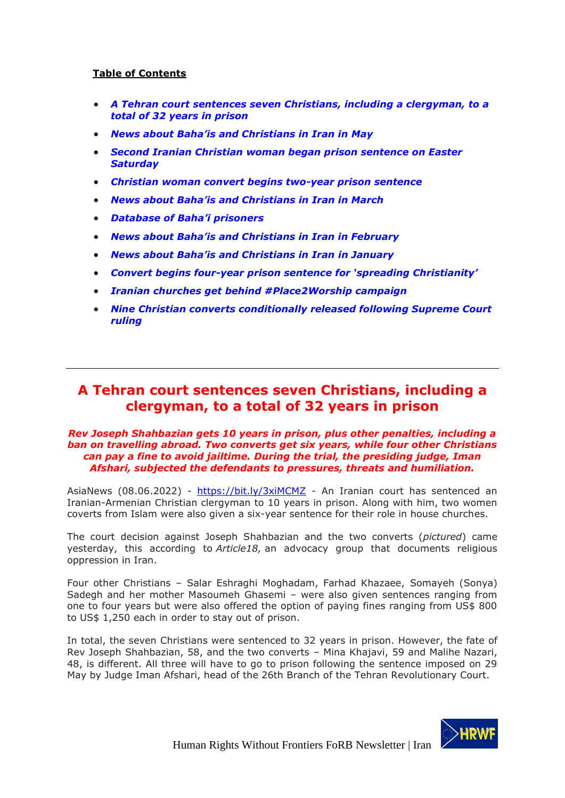# **Table of Contents**

- *[A Tehran court sentences seven Christians, including a clergyman, to a](#page-0-0)  [total of 32 years in prison](#page-0-0)*
- *[News about Baha'is and Christians in Iran in](#page-1-0) May*
- *[Second Iranian Christian woman began prison sentence on Easter](#page-4-0)  [Saturday](#page-4-0)*
- *[Christian woman convert begins two-year prison sentence](#page-5-0)*
- *News about Baha'is and [Christians in Iran in March](#page-6-0)*
- *[Database of Baha'i prisoners](#page-9-0)*
- *[News about Baha'is and Christians in Iran in February](#page-11-0)*
- *[News about Baha'is and Christians in Iran](#page-14-0) in January*
- *Convert begins four-[year prison sentence for 'spreading Christianity'](#page-18-0)*
- *[Iranian churches get behind #Place2Worship campaign](#page-19-0)*
- *[Nine Christian converts conditionally released following Supreme Court](#page-21-0)  [ruling](#page-21-0)*

# <span id="page-0-0"></span>**A Tehran court sentences seven Christians, including a clergyman, to a total of 32 years in prison**

#### *Rev Joseph Shahbazian gets 10 years in prison, plus other penalties, including a ban on travelling abroad. Two converts get six years, while four other Christians can pay a fine to avoid jailtime. During the trial, the presiding judge, Iman Afshari, subjected the defendants to pressures, threats and humiliation.*

AsiaNews (08.06.2022) - <https://bit.ly/3xiMCMZ> - An Iranian court has sentenced an Iranian-Armenian Christian clergyman to 10 years in prison. Along with him, two women coverts from Islam were also given a six-year sentence for their role in house churches.

The court decision against Joseph Shahbazian and the two converts (*pictured*) came yesterday, this according to *Article18,* an advocacy group that documents religious oppression in Iran.

Four other Christians – Salar Eshraghi Moghadam, Farhad Khazaee, Somayeh (Sonya) Sadegh and her mother Masoumeh Ghasemi – were also given sentences ranging from one to four years but were also offered the option of paying fines ranging from US\$ 800 to US\$ 1,250 each in order to stay out of prison.

In total, the seven Christians were sentenced to 32 years in prison. However, the fate of Rev Joseph Shahbazian, 58, and the two converts – Mina Khajavi, 59 and Malihe Nazari, 48, is different. All three will have to go to prison following the sentence imposed on 29 May by Judge Iman Afshari, head of the 26th Branch of the Tehran Revolutionary Court.

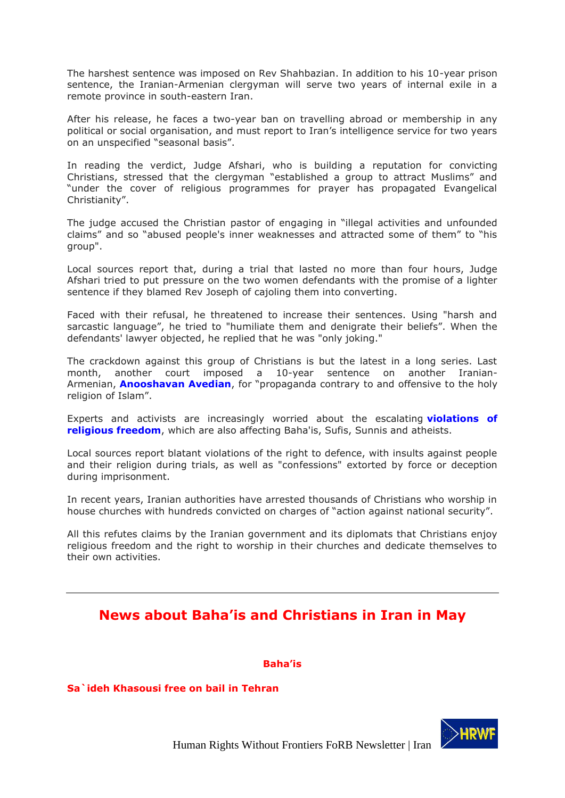The harshest sentence was imposed on Rev Shahbazian. In addition to his 10-year prison sentence, the Iranian-Armenian clergyman will serve two years of internal exile in a remote province in south-eastern Iran.

After his release, he faces a two-year ban on travelling abroad or membership in any political or social organisation, and must report to Iran's intelligence service for two years on an unspecified "seasonal basis".

In reading the verdict, Judge Afshari, who is building a reputation for convicting Christians, stressed that the clergyman "established a group to attract Muslims" and "under the cover of religious programmes for prayer has propagated Evangelical Christianity".

The judge accused the Christian pastor of engaging in "illegal activities and unfounded claims" and so "abused people's inner weaknesses and attracted some of them" to "his group".

Local sources report that, during a trial that lasted no more than four hours, Judge Afshari tried to put pressure on the two women defendants with the promise of a lighter sentence if they blamed Rev Joseph of cajoling them into converting.

Faced with their refusal, he threatened to increase their sentences. Using "harsh and sarcastic language", he tried to "humiliate them and denigrate their beliefs". When the defendants' lawyer objected, he replied that he was "only joking."

The crackdown against this group of Christians is but the latest in a long series. Last month, another court imposed a 10-year sentence on another Iranian-Armenian, **[Anooshavan Avedian](https://www.asianews.it/news-en/Of-Christian-faith:-Tehran-sentences-an-Armenian-Iranian-to-10-years-55741.html)**, for "propaganda contrary to and offensive to the holy religion of Islam".

Experts and activists are increasingly worried about the escalating **[violations of](https://www.asianews.it/news-en/Worrying-violations-of-religious-freedom-in-Iran,-Christians-arrested-55675.html)  [religious freedom](https://www.asianews.it/news-en/Worrying-violations-of-religious-freedom-in-Iran,-Christians-arrested-55675.html)**, which are also affecting Baha'is, Sufis, Sunnis and atheists.

Local sources report blatant violations of the right to defence, with insults against people and their religion during trials, as well as "confessions" extorted by force or deception during imprisonment.

In recent years, Iranian authorities have arrested thousands of Christians who worship in house churches with hundreds convicted on charges of "action against national security".

All this refutes claims by the Iranian government and its diplomats that Christians enjoy religious freedom and the right to worship in their churches and dedicate themselves to their own activities.

# <span id="page-1-0"></span>**News about Baha'is and Christians in Iran in May**

**Baha'is**

**Sa`ideh Khasousi free on bail in Tehran**

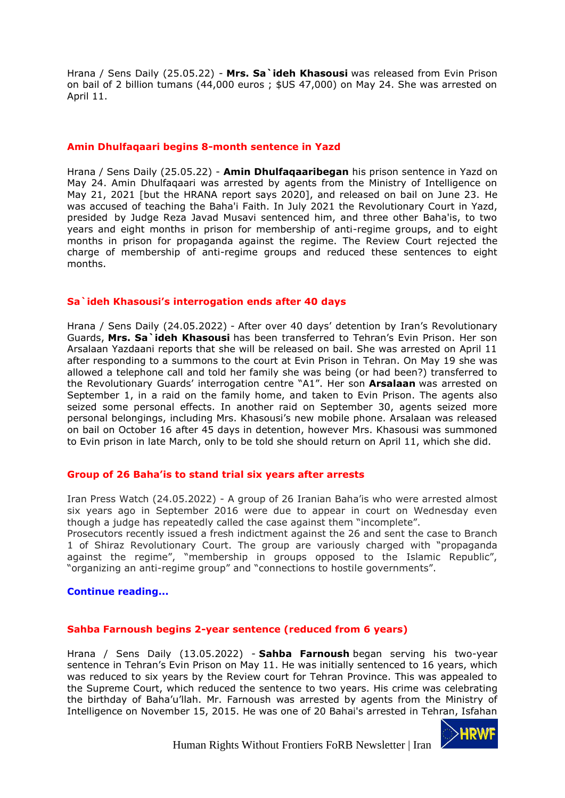Hrana / Sens Daily (25.05.22) - **Mrs. Sa`ideh Khasousi** was released from Evin Prison on bail of 2 billion tumans (44,000 euros ; \$US 47,000) on May 24. She was arrested on April 11.

# **Amin Dhulfaqaari begins 8-month sentence in Yazd**

Hrana / Sens Daily (25.05.22) - **Amin Dhulfaqaaribegan** his prison sentence in Yazd on May 24. Amin Dhulfaqaari was arrested by agents from the Ministry of Intelligence on May 21, 2021 [but the HRANA report says 2020], and released on bail on June 23. He was accused of teaching the Baha'i Faith. In July 2021 the Revolutionary Court in Yazd, presided by Judge Reza Javad Musavi sentenced him, and three other Baha'is, to two years and eight months in prison for membership of anti-regime groups, and to eight months in prison for propaganda against the regime. The Review Court rejected the charge of membership of anti-regime groups and reduced these sentences to eight months.

#### **Sa`ideh Khasousi's interrogation ends after 40 days**

Hrana / Sens Daily (24.05.2022) - After over 40 days' detention by Iran's Revolutionary Guards, **Mrs. Sa`ideh Khasousi** has been transferred to Tehran's Evin Prison. Her son Arsalaan Yazdaani reports that she will be released on bail. She was arrested on April 11 after responding to a summons to the court at Evin Prison in Tehran. On May 19 she was allowed a telephone call and told her family she was being (or had been?) transferred to the Revolutionary Guards' interrogation centre "A1". Her son **Arsalaan** was arrested on September 1, in a raid on the family home, and taken to Evin Prison. The agents also seized some personal effects. In another raid on September 30, agents seized more personal belongings, including Mrs. Khasousi's new mobile phone. Arsalaan was released on bail on October 16 after 45 days in detention, however Mrs. Khasousi was summoned to Evin prison in late March, only to be told she should return on April 11, which she did.

# **Group of 26 Baha'is to stand trial six years after arrests**

Iran Press Watch (24.05.2022) - A group of 26 Iranian Baha'is who were arrested almost six years ago in September 2016 were due to appear in court on Wednesday even though a judge has repeatedly called the case against them "incomplete".

Prosecutors recently issued a fresh indictment against the 26 and sent the case to Branch 1 of Shiraz Revolutionary Court. The group are variously charged with "propaganda against the regime", "membership in groups opposed to the Islamic Republic", "organizing an anti-regime group" and "connections to hostile governments".

#### **[Continue reading...](http://iranpresswatch.org/post/22785/group-26-bahais-stand-trial-six-years-arrests/)**

#### **Sahba Farnoush begins 2-year sentence (reduced from 6 years)**

Hrana / Sens Daily (13.05.2022) - **Sahba Farnoush** began serving his two-year sentence in Tehran's Evin Prison on May 11. He was initially sentenced to 16 years, which was reduced to six years by the Review court for Tehran Province. This was appealed to the Supreme Court, which reduced the sentence to two years. His crime was celebrating the birthday of Baha'u'llah. Mr. Farnoush was arrested by agents from the Ministry of Intelligence on November 15, 2015. He was one of 20 Bahai's arrested in Tehran, Isfahan

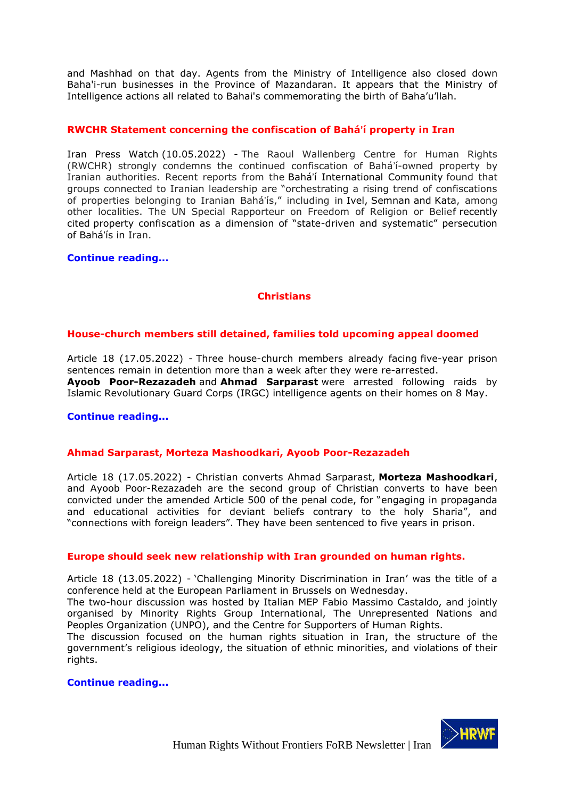and Mashhad on that day. Agents from the Ministry of Intelligence also closed down Baha'i-run businesses in the Province of Mazandaran. It appears that the Ministry of Intelligence actions all related to Bahai's commemorating the birth of Baha'u'llah.

# **RWCHR Statement concerning the confiscation of Bahá'í property in Iran**

Iran Press Watch (10.05.2022) - The Raoul Wallenberg Centre for Human Rights (RWCHR) strongly condemns the continued confiscation of Bahá'í-owned property by Iranian authorities. Recent reports from the Bahá'í [International Community](https://www.bic.org/news/exposed-iranian-leaderships-plan-enrich-itself-seizing-bahai-properties) found that groups connected to Iranian leadership are "orchestrating a rising trend of confiscations of properties belonging to Iranian Bahá'ís," including in [Ivel,](https://opa.bahai.ca/areas-focus/situation-iran/ivel/) [Semnan](https://www.bic.org/news/exposed-iranian-leaderships-plan-enrich-itself-seizing-bahai-properties) and [Kata,](https://www.bic.org/news/seizures-bahai-irrigated-farms-midst-iranian-water-crisis) among other localities. The UN Special Rapporteur on Freedom of Religion or Belief [recently](https://www.bic.org/news/un-report-decries-criminalisation-and-persecution-bahais-across-mena-region)  [cited](https://www.bic.org/news/un-report-decries-criminalisation-and-persecution-bahais-across-mena-region) property confiscation as a dimension of "state-driven and systematic" persecution of Bahá'ís in Iran.

# **Continue [reading...](http://iranpresswatch.org/post/22771/rwchr-statement-concerning-confiscation-baha%ca%bci-property-iran/)**

# **Christians**

# **House-church members still detained, families told upcoming appeal doomed**

Article 18 (17.05.2022) - Three house-church members already facing [five-year prison](https://articleeighteen.com/news/10782/)  [sentences](https://articleeighteen.com/news/10782/) remain in detention more than a week after they were [re-arrested.](https://articleeighteen.com/news/10888/) **Ayoob Poor-Rezazadeh** and **Ahmad Sarparast** were arrested following raids by Islamic Revolutionary Guard Corps (IRGC) intelligence agents on their homes on 8 May.

# **[Continue reading...](https://articleeighteen.com/news/10945/)**

# **Ahmad Sarparast, Morteza Mashoodkari, Ayoob Poor-Rezazadeh**

Article 18 (17.05.2022) - Christian converts Ahmad Sarparast, **Morteza Mashoodkari**, and Ayoob Poor-Rezazadeh are the second group of Christian converts to have been convicted under the amended Article 500 of the penal code, for "engaging in propaganda and educational activities for deviant beliefs contrary to the holy Sharia", and "connections with foreign leaders". They have been sentenced to five years in prison.

# **Europe should seek new relationship with Iran grounded on human rights.**

Article 18 (13.05.2022) - 'Challenging Minority Discrimination in Iran' was the title of a conference held at the European Parliament in Brussels on Wednesday.

The two-hour discussion was hosted by Italian MEP Fabio Massimo Castaldo, and jointly organised by Minority Rights Group International, The Unrepresented Nations and Peoples Organization (UNPO), and the Centre for Supporters of Human Rights.

The discussion focused on the human rights situation in Iran, the structure of the government's religious ideology, the situation of ethnic minorities, and violations of their rights.

# **Continue [reading...](https://articleeighteen.com/news/10931/)**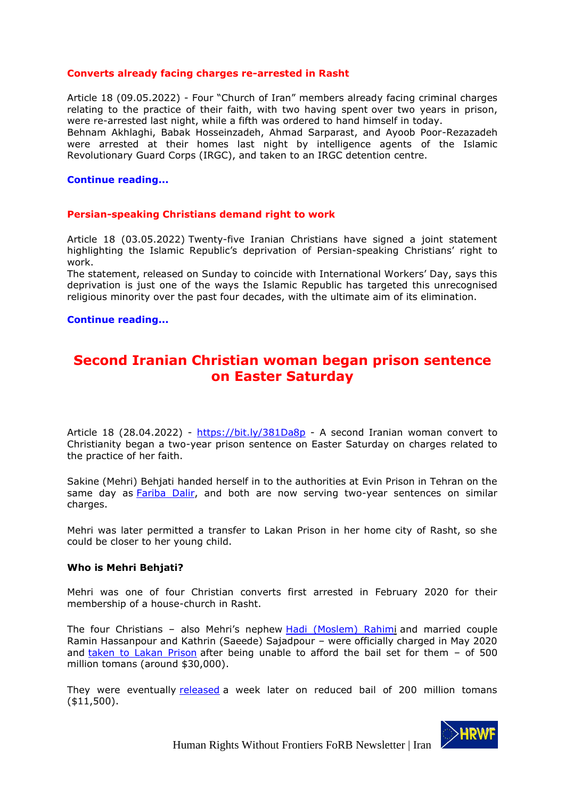# **Converts already facing charges re-arrested in Rasht**

Article 18 (09.05.2022) - Four "Church of Iran" members already facing criminal charges relating to the practice of their faith, with two having spent [over two years in prison,](https://articleeighteen.com/news/10374/) were re-arrested last night, while a fifth was ordered to hand himself in today.

Behnam Akhlaghi, Babak Hosseinzadeh, Ahmad Sarparast, and Ayoob Poor-Rezazadeh were arrested at their homes last night by intelligence agents of the Islamic Revolutionary Guard Corps (IRGC), and taken to an IRGC detention centre.

#### **[Continue reading...](https://articleeighteen.com/news/10888/)**

#### **Persian-speaking Christians demand right to work**

Article 18 (03.05.2022) Twenty-five Iranian Christians have signed a joint statement highlighting the Islamic Republic's deprivation of Persian-speaking Christians' right to work.

The [statement,](https://www.hra-news.org/statements/a-660/) released on Sunday to coincide with International Workers' Day, says this deprivation is just one of the ways the Islamic Republic has targeted this unrecognised religious minority over the past four decades, with the ultimate aim of its elimination.

#### **[Continue reading...](https://articleeighteen.com/news/10859/)**

# <span id="page-4-0"></span>**Second Iranian Christian woman began prison sentence on Easter Saturday**

Article 18 (28.04.2022) - <https://bit.ly/381Da8p> - A second Iranian woman convert to Christianity began a two-year prison sentence on Easter Saturday on charges related to the practice of her faith.

Sakine (Mehri) Behjati handed herself in to the authorities at Evin Prison in Tehran on the same day as [Fariba Dalir,](https://articleeighteen.com/news/10798/) and both are now serving two-year sentences on similar charges.

Mehri was later permitted a transfer to Lakan Prison in her home city of Rasht, so she could be closer to her young child.

#### **Who is Mehri Behjati?**

Mehri was one of four Christian converts first arrested in February 2020 for their membership of a house-church in Rasht.

The four Christians – also Mehri's nephew [Hadi \(Moslem\) Rahimi](https://articleeighteen.com/news/10027/) and married couple Ramin Hassanpour and Kathrin (Saeede) Sajadpour – were officially charged in May 2020 and [taken to Lakan Prison](https://articleeighteen.com/news/6065/) after being unable to afford the bail set for them - of 500 million tomans (around \$30,000).

They were eventually [released](https://twitter.com/articleeighteen/status/1263433358505381888) a week later on reduced bail of 200 million tomans (\$11,500).

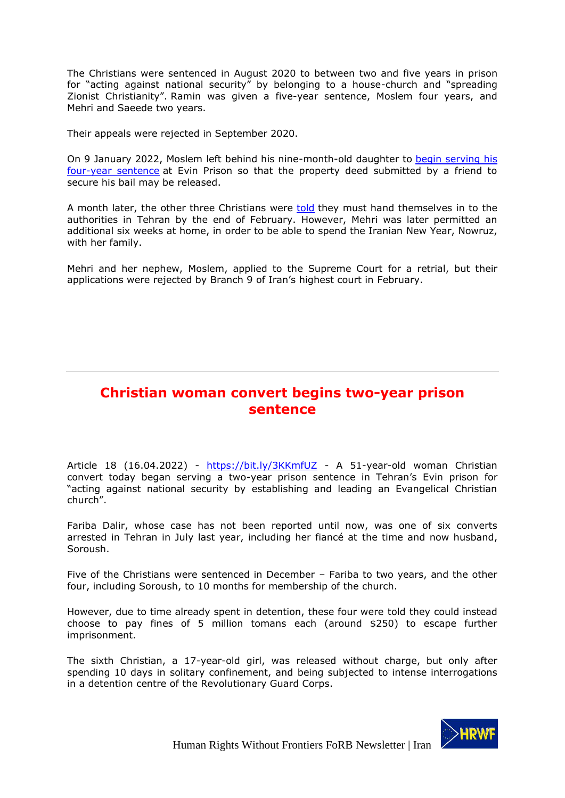The Christians were sentenced in August 2020 to between two and five years in prison for "acting against national security" by belonging to a house-church and "spreading Zionist Christianity". Ramin was given a five-year sentence, Moslem four years, and Mehri and Saeede two years.

Their appeals were rejected in September 2020.

On 9 January 2022, Moslem left behind his nine-month-old daughter to [begin serving his](https://articleeighteen.com/news/10027/)  [four-year sentence](https://articleeighteen.com/news/10027/) at Evin Prison so that the property deed submitted by a friend to secure his bail may be released.

A month later, the other three Christians were [told](https://articleeighteen.com/news/10348/) they must hand themselves in to the authorities in Tehran by the end of February. However, Mehri was later permitted an additional six weeks at home, in order to be able to spend the Iranian New Year, Nowruz, with her family.

Mehri and her nephew, Moslem, applied to the Supreme Court for a retrial, but their applications were rejected by Branch 9 of Iran's highest court in February.

# <span id="page-5-0"></span>**Christian woman convert begins two-year prison sentence**

Article 18 (16.04.2022) - <https://bit.ly/3KKmfUZ> - A 51-year-old woman Christian convert today began serving a two-year prison sentence in Tehran's Evin prison for "acting against national security by establishing and leading an Evangelical Christian church".

Fariba Dalir, whose case has not been reported until now, was one of six converts arrested in Tehran in July last year, including her fiancé at the time and now husband, Soroush.

Five of the Christians were sentenced in December – Fariba to two years, and the other four, including Soroush, to 10 months for membership of the church.

However, due to time already spent in detention, these four were told they could instead choose to pay fines of 5 million tomans each (around \$250) to escape further imprisonment.

The sixth Christian, a 17-year-old girl, was released without charge, but only after spending 10 days in solitary confinement, and being subjected to intense interrogations in a detention centre of the Revolutionary Guard Corps.

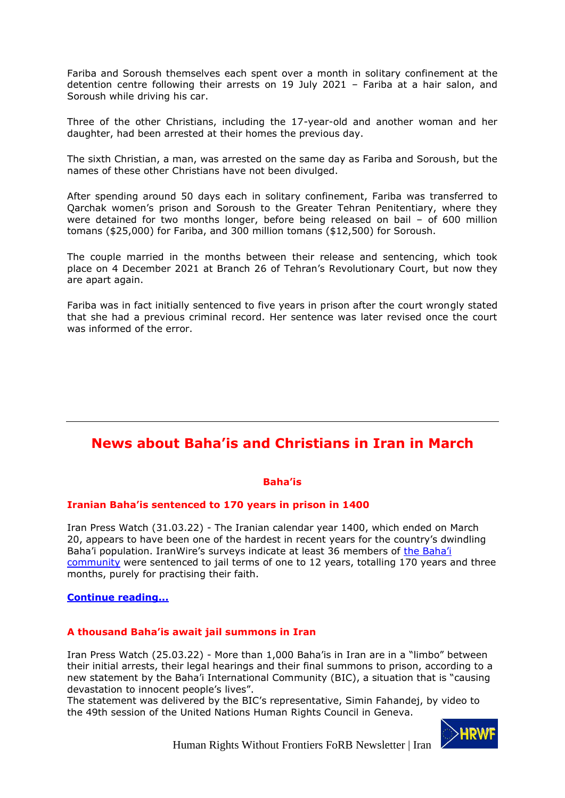Fariba and Soroush themselves each spent over a month in solitary confinement at the detention centre following their arrests on 19 July 2021 – Fariba at a hair salon, and Soroush while driving his car.

Three of the other Christians, including the 17-year-old and another woman and her daughter, had been arrested at their homes the previous day.

The sixth Christian, a man, was arrested on the same day as Fariba and Soroush, but the names of these other Christians have not been divulged.

After spending around 50 days each in solitary confinement, Fariba was transferred to Qarchak women's prison and Soroush to the Greater Tehran Penitentiary, where they were detained for two months longer, before being released on bail – of 600 million tomans (\$25,000) for Fariba, and 300 million tomans (\$12,500) for Soroush.

The couple married in the months between their release and sentencing, which took place on 4 December 2021 at Branch 26 of Tehran's Revolutionary Court, but now they are apart again.

Fariba was in fact initially sentenced to five years in prison after the court wrongly stated that she had a previous criminal record. Her sentence was later revised once the court was informed of the error.

# <span id="page-6-0"></span>**News about Baha'is and Christians in Iran in March**

# **Baha'is**

# **Iranian Baha'is sentenced to 170 years in prison in 1400**

Iran Press Watch (31.03.22) - The Iranian calendar year 1400, which ended on March 20, appears to have been one of the hardest in recent years for the country's dwindling Baha'i population. IranWire's surveys indicate at least 36 members of the [Baha'i](https://iranwire.com/search?q=Baha%27i+community)  [community](https://iranwire.com/search?q=Baha%27i+community) were sentenced to jail terms of one to 12 years, totalling 170 years and three months, purely for practising their faith.

# **[Continue reading...](http://iranpresswatch.org/post/22738/iranian-bahais-sentenced-170-years-prison-1400/)**

# **A thousand Baha'is await jail summons in Iran**

Iran Press Watch (25.03.22) - More than 1,000 Baha'is in Iran are in a "limbo" between their initial arrests, their legal hearings and their final summons to prison, according to a new statement by the Baha'i International Community (BIC), a situation that is "causing devastation to innocent people's lives".

The statement was delivered by the BIC's representative, Simin Fahandej, by video to the 49th session of the United Nations Human Rights Council in Geneva.

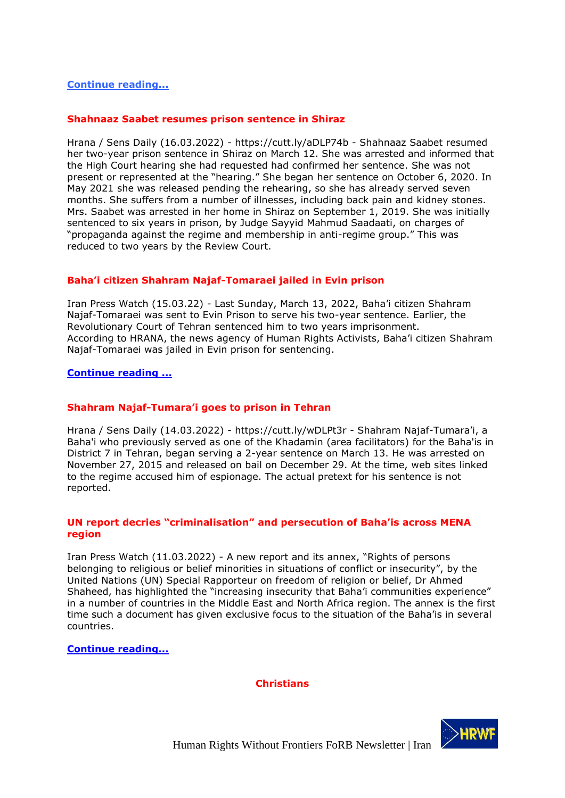# **[Continue reading...](http://iranpresswatch.org/post/22735/thousand-bahais-await-jail-summons-iran/)**

# **Shahnaaz Saabet resumes prison sentence in Shiraz**

Hrana / Sens Daily (16.03.2022) - https://cutt.ly/aDLP74b - Shahnaaz Saabet resumed her two-year prison sentence in Shiraz on March 12. She was arrested and informed that the High Court hearing she had requested had confirmed her sentence. She was not present or represented at the "hearing." She began her sentence on October 6, 2020. In May 2021 she was released pending the rehearing, so she has already served seven months. She suffers from a number of illnesses, including back pain and kidney stones. Mrs. Saabet was arrested in her home in Shiraz on September 1, 2019. She was initially sentenced to six years in prison, by Judge Sayyid Mahmud Saadaati, on charges of "propaganda against the regime and membership in anti-regime group." This was reduced to two years by the Review Court.

# **Baha'i citizen Shahram Najaf-Tomaraei jailed in Evin prison**

Iran Press Watch (15.03.22) - Last Sunday, March 13, 2022, Baha'i citizen Shahram Najaf-Tomaraei was sent to Evin Prison to serve his two-year sentence. Earlier, the Revolutionary Court of Tehran sentenced him to two years imprisonment. According to HRANA, the news agency of Human Rights Activists, Baha'i citizen Shahram Najaf-Tomaraei was jailed in Evin prison for sentencing.

# **[Continue reading ...](http://iranpresswatch.org/post/22729/bahai-citizen-shahram-najaf-tomaraei-jailed-evin-prison/)**

# **[Shahram Najaf-Tumar](https://sensday.wordpress.com/2022/03/14/shahram-najaf-tumarai-goes-to-prison-in-tehran/)a'i goes to prison in Tehran**

Hrana / Sens Daily (14.03.2022) - https://cutt.ly/wDLPt3r - Shahram Najaf-Tumara'i, a Baha'i who previously served as one of the Khadamin (area facilitators) for the Baha'is in District 7 in Tehran, began serving a 2-year sentence on March 13. He was arrested on November 27, 2015 and released on bail on December 29. At the time, web sites linked to the regime accused him of espionage. The actual pretext for his sentence is not reported.

# **UN report decries "criminalisation" and persecution of Baha'is across MENA region**

Iran Press Watch (11.03.2022) - A new report and its annex, "Rights of persons belonging to religious or belief minorities in situations of conflict or insecurity", by the United Nations (UN) Special Rapporteur on freedom of religion or belief, Dr Ahmed Shaheed, has highlighted the "increasing insecurity that Baha'i communities experience" in a number of countries in the Middle East and North Africa region. The annex is the first time such a document has given exclusive focus to the situation of the Baha'is in several countries.

**[Continue reading...](http://iranpresswatch.org/post/22719/un-report-decries-criminalisation-persecution-bahais-across-mena-region/)**

# **Christians**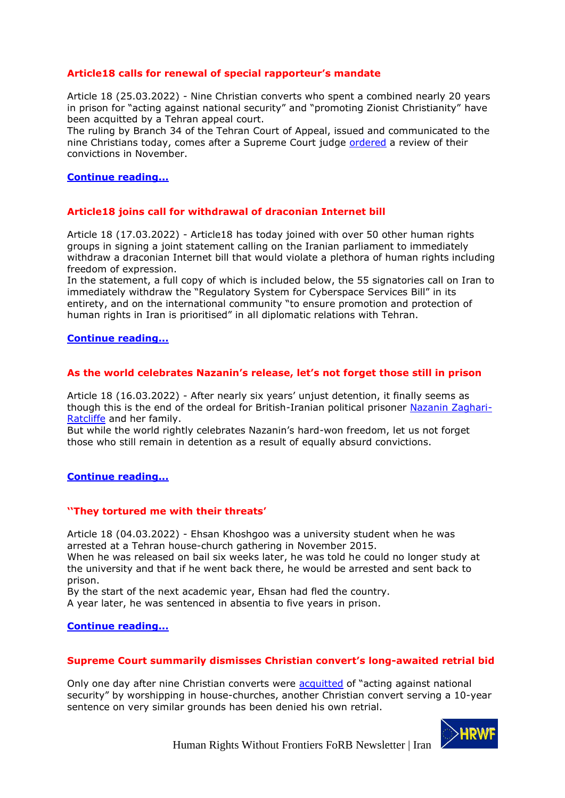# **Article18 calls for renewal of special rapporteur's mandate**

Article 18 (25.03.2022) - Nine Christian converts who spent a combined nearly 20 years in prison for "acting against national security" and "promoting Zionist Christianity" have been acquitted by a Tehran appeal court.

The ruling by Branch 34 of the Tehran Court of Appeal, issued and communicated to the nine Christians today, comes after a Supreme Court judge [ordered](https://articleeighteen.com/news/9836/) a review of their convictions in November.

# **[Continue reading...](https://articleeighteen.com/news/10736/)**

# **Article18 joins call for withdrawal of draconian Internet bill**

Article 18 (17.03.2022) - Article18 has today joined with over 50 other human rights groups in signing a joint statement calling on the Iranian parliament to immediately withdraw a draconian Internet bill that would violate a plethora of human rights including freedom of expression.

In the statement, a full copy of which is included below, the 55 signatories call on Iran to immediately withdraw the "Regulatory System for Cyberspace Services Bill" in its entirety, and on the international community "to ensure promotion and protection of human rights in Iran is prioritised" in all diplomatic relations with Tehran.

# **[Continue reading...](https://articleeighteen.com/news/10663/)**

# **As the world celebrates Nazanin's release, let's not forget those still in prison**

Article 18 (16.03.2022) - After nearly six years' unjust detention, it finally seems as though this is the end of the ordeal for British-Iranian political prisoner [Nazanin Zaghari-](https://www.theguardian.com/news/2022/mar/15/nazanin-zaghari-ratcliffes-six-years-of-bewilderment-and-injustice)[Ratcliffe](https://www.theguardian.com/news/2022/mar/15/nazanin-zaghari-ratcliffes-six-years-of-bewilderment-and-injustice) and her family.

But while the world rightly celebrates Nazanin's hard-won freedom, let us not forget those who still remain in detention as a result of equally absurd convictions.

# **[C](https://articleeighteen.com/analysis/10693/)[ontinue reading...](https://articleeighteen.com/news/10087/)**

# **''They tortured me with their threats'**

Article 18 (04.03.2022) - Ehsan Khoshgoo was a university student when he was arrested at a Tehran house-church gathering in November 2015.

When he was released on bail six weeks later, he was told he could no longer study at the university and that if he went back there, he would be arrested and sent back to prison.

By the start of the next academic year, Ehsan had fled the country.

A year later, he was sentenced in absentia to five years in prison.

# **[Continue reading...](https://articleeighteen.com/features/10490/)**

# **Supreme Court summarily dismisses Christian convert's long-awaited retrial bid**

Only one day after nine Christian converts were [acquitted](https://articleeighteen.com/news/10496/) of "acting against national security" by worshipping in house-churches, another Christian convert serving a 10-year sentence on very similar grounds has been denied his own retrial.

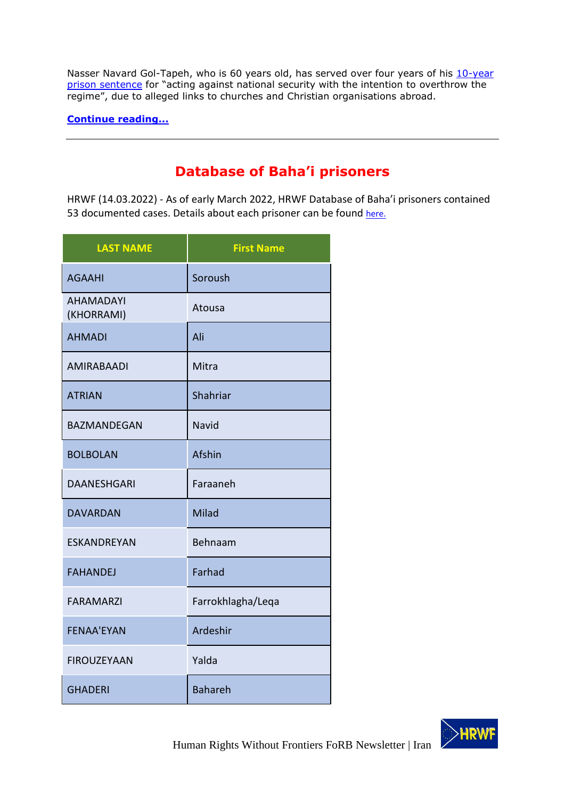Nasser Navard Gol-Tapeh, who is 60 years old, has served over four years of his 10-year [prison sentence](https://articleeighteen.com/news/1875/) for "acting against national security with the intention to overthrow the regime", due to alleged links to churches and Christian organisations abroad.

**[Continue reading...](https://articleeighteen.com/news/10515/)**

# **Database of Baha'i prisoners**

<span id="page-9-0"></span>HRWF (14.03.2022) - As of early March 2022, HRWF Database of Baha'i prisoners contained 53 documented cases. Details about each prisoner can be found [here.](LAST%20NAMEFirst%20Name%20%20AGAAHISoroush%20%20AHAMADAYI%20(KHORRAMI)Atousa%20%20AHMADIAli%20%20AMIRABAADIMitra%20(Mitrabandi-Amirabaadi-Baaghi)%20%20ATRIANShahriar%20%20BAZMANDEGANNavid%20%20BOLBOLANAfshin%20%20DAANESHGARIFaraaneh%20%20DAVARDANMilad%20%20ESKANDREYANBehnaam%20%20FAHANDEJFarhad%20%20FARAMARZIFarrokhlagha/Leqa%20%20FENAA)

| <b>LAST NAME</b>               | <b>First Name</b> |
|--------------------------------|-------------------|
| <b>AGAAHI</b>                  | Soroush           |
| <b>AHAMADAYI</b><br>(KHORRAMI) | Atousa            |
| <b>AHMADI</b>                  | Ali               |
| <b>AMIRABAADI</b>              | Mitra             |
| <b>ATRIAN</b>                  | Shahriar          |
| <b>BAZMANDEGAN</b>             | Navid             |
| <b>BOLBOLAN</b>                | Afshin            |
| <b>DAANESHGARI</b>             | Faraaneh          |
| <b>DAVARDAN</b>                | Milad             |
| <b>ESKANDREYAN</b>             | Behnaam           |
| <b>FAHANDEJ</b>                | Farhad            |
| FARAMARZI                      | Farrokhlagha/Leqa |
| <b>FENAA'EYAN</b>              | Ardeshir          |
| <b>FIROUZEYAAN</b>             | Yalda             |
| <b>GHADERI</b>                 | <b>Bahareh</b>    |

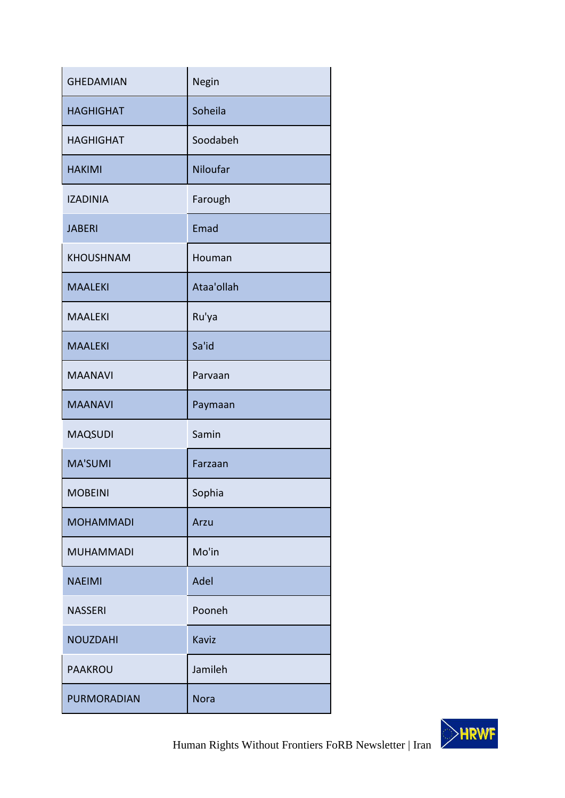| <b>GHEDAMIAN</b> | Negin       |
|------------------|-------------|
| <b>HAGHIGHAT</b> | Soheila     |
| <b>HAGHIGHAT</b> | Soodabeh    |
| <b>HAKIMI</b>    | Niloufar    |
| <b>IZADINIA</b>  | Farough     |
| <b>JABERI</b>    | Emad        |
| <b>KHOUSHNAM</b> | Houman      |
| <b>MAALEKI</b>   | Ataa'ollah  |
| <b>MAALEKI</b>   | Ru'ya       |
| <b>MAALEKI</b>   | Sa'id       |
| <b>MAANAVI</b>   | Parvaan     |
| <b>MAANAVI</b>   | Paymaan     |
| <b>MAQSUDI</b>   | Samin       |
| <b>MA'SUMI</b>   | Farzaan     |
| <b>MOBEINI</b>   | Sophia      |
| <b>MOHAMMADI</b> | Arzu        |
| <b>MUHAMMADI</b> | Mo'in       |
| <b>NAEIMI</b>    | Adel        |
| <b>NASSERI</b>   | Pooneh      |
| <b>NOUZDAHI</b>  | Kaviz       |
| <b>PAAKROU</b>   | Jamileh     |
| PURMORADIAN      | <b>Nora</b> |

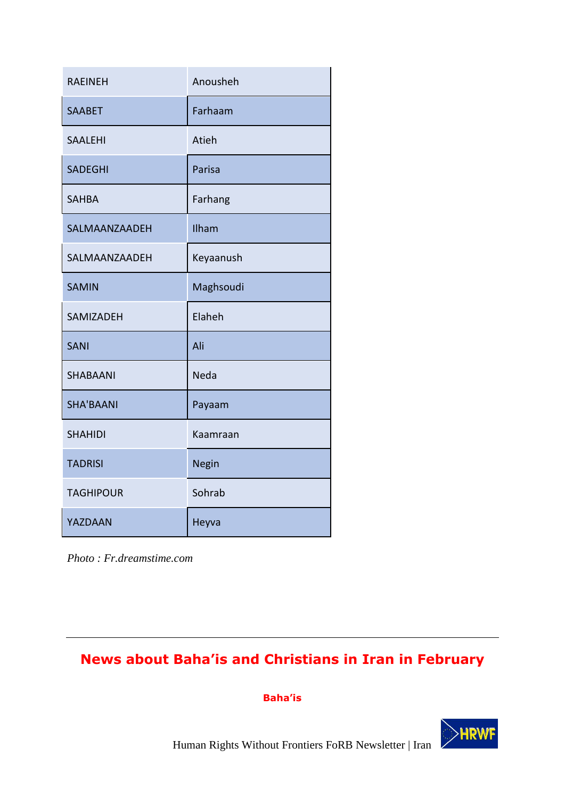| <b>RAEINEH</b>   | Anousheh  |
|------------------|-----------|
| <b>SAABET</b>    | Farhaam   |
| <b>SAALEHI</b>   | Atieh     |
| <b>SADEGHI</b>   | Parisa    |
| <b>SAHBA</b>     | Farhang   |
| SALMAANZAADEH    | Ilham     |
| SALMAANZAADEH    | Keyaanush |
| <b>SAMIN</b>     | Maghsoudi |
| SAMIZADEH        | Elaheh    |
| <b>SANI</b>      | Ali       |
| <b>SHABAANI</b>  | Neda      |
| <b>SHA'BAANI</b> | Payaam    |
| <b>SHAHIDI</b>   | Kaamraan  |
| <b>TADRISI</b>   | Negin     |
| <b>TAGHIPOUR</b> | Sohrab    |
| YAZDAAN          | Heyva     |

*Photo : Fr.dreamstime.com*

# <span id="page-11-0"></span>**News about Baha'is and Christians in Iran in February**

**Baha'is**

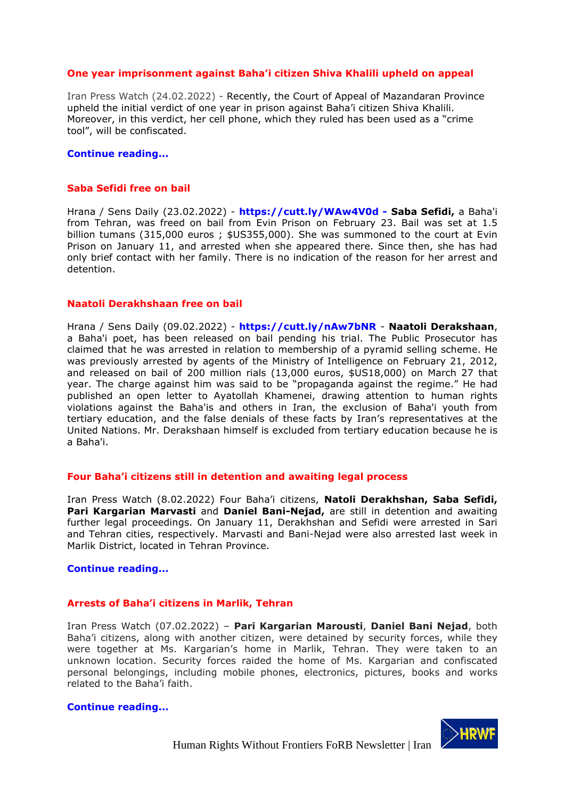# **One year imprisonment against Baha'i citizen Shiva Khalili upheld on appeal**

Iran Press Watch (24.02.2022) - Recently, the Court of Appeal of Mazandaran Province upheld the initial verdict of one year in prison against Baha'i citizen Shiva Khalili. Moreover, in this verdict, her cell phone, which they ruled has been used as a "crime tool", will be confiscated.

#### **Continue reading...**

#### **Saba Sefidi free on bail**

Hrana / Sens Daily (23.02.2022) - **https://cutt.ly/WAw4V0d - Saba Sefidi,** a Baha'i from Tehran, was freed on bail from Evin Prison on February 23. Bail was set at 1.5 billion tumans (315,000 euros ; \$US355,000). She was summoned to the court at Evin Prison on January 11, and arrested when she appeared there. Since then, she has had only brief contact with her family. There is no indication of the reason for her arrest and detention.

# **Naatoli Derakhshaan free on bail**

Hrana / Sens Daily (09.02.2022) - **https://cutt.ly/nAw7bNR** - **Naatoli Derakshaan**, a Baha'i poet, has been released on bail pending his trial. The Public Prosecutor has claimed that he was arrested in relation to membership of a pyramid selling scheme. He was previously arrested by agents of the Ministry of Intelligence on February 21, 2012, and released on bail of 200 million rials (13,000 euros, \$US18,000) on March 27 that year. The charge against him was said to be "propaganda against the regime." He had published an open letter to Ayatollah Khamenei, drawing attention to human rights violations against the Baha'is and others in Iran, the exclusion of Baha'i youth from tertiary education, and the false denials of these facts by Iran's representatives at the United Nations. Mr. Derakshaan himself is excluded from tertiary education because he is a Baha'i.

# **Four Baha'i citizens still in detention and awaiting legal process**

Iran Press Watch (8.02.2022) Four Baha'i citizens, **Natoli Derakhshan, Saba Sefidi, Pari Kargarian Marvasti** and **Daniel Bani-Nejad,** are still in detention and awaiting further legal proceedings. On January 11, Derakhshan and Sefidi were arrested in Sari and Tehran cities, respectively. Marvasti and Bani-Nejad were also arrested last week in Marlik District, located in Tehran Province.

# **[Continue reading...](http://iranpresswatch.org/post/22684/four-bahai-citizens-still-detention-awaiting-legal-process/)**

# **Arrests of Baha'i citizens in Marlik, Tehran**

Iran Press Watch (07.02.2022) – **Pari Kargarian Marousti**, **Daniel Bani Nejad**, both Baha'i citizens, along with another citizen, were detained by security forces, while they were together at Ms. Kargarian's home in Marlik, Tehran. They were taken to an unknown location. Security forces raided the home of Ms. Kargarian and confiscated personal belongings, including mobile phones, electronics, pictures, books and works related to the Baha'i faith.

# **[Continue reading...](http://iranpresswatch.org/post/22680/arrests-bahai-citizens-marlik-tehran/)**

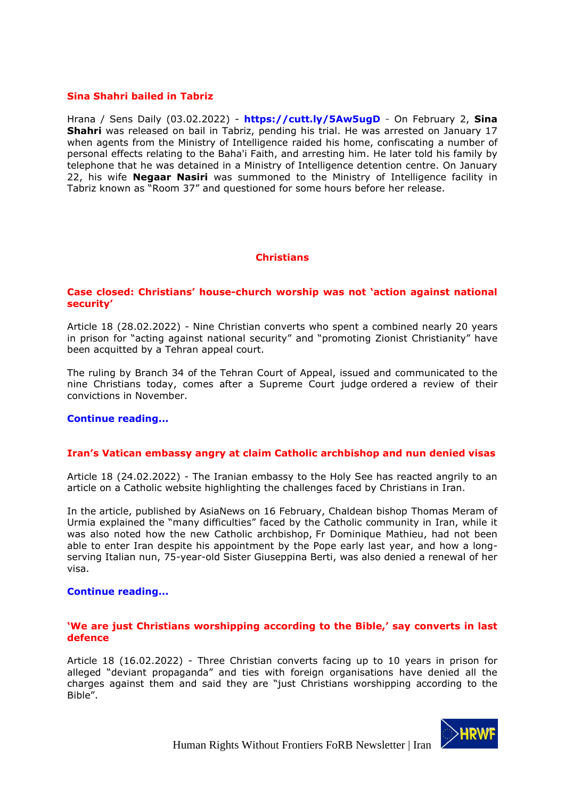# **Sina Shahri bailed in Tabriz**

Hrana / Sens Daily (03.02.2022) - **https://cutt.ly/5Aw5ugD** - On February 2, **Sina Shahri** was released on bail in Tabriz, pending his trial. He was arrested on January 17 when agents from the Ministry of Intelligence raided his home, confiscating a number of personal effects relating to the Baha'i Faith, and arresting him. He later told his family by telephone that he was detained in a Ministry of Intelligence detention centre. On January 22, his wife **Negaar Nasiri** was summoned to the Ministry of Intelligence facility in Tabriz known as "Room 37" and questioned for some hours before her release.

# **Christians**

# **Case closed: Christians' house-church worship was not 'action against national security'**

Article 18 (28.02.2022) - Nine Christian converts who spent a combined nearly 20 years in prison for "acting against national security" and "promoting Zionist Christianity" have been acquitted by a Tehran appeal court.

The ruling by Branch 34 of the Tehran Court of Appeal, issued and communicated to the nine Christians today, comes after a Supreme Court judge [ordered](https://articleeighteen.com/news/9836/) a review of their convictions in November.

# **[Continue reading...](https://articleeighteen.com/news/10496/)**

# **Iran's Vatican embassy angry at claim Catholic archbishop and nun denied visas**

Article 18 (24.02.2022) - The Iranian embassy to the Holy See has reacted angrily to an article on a Catholic website highlighting the challenges faced by Christians in Iran.

In the [article,](https://www.asianews.it/news-en/Catholics-in-Today%E2%80%99s-Iran:-the-Testimony-of-a-Chaldean-Bishop-55083.html) published by AsiaNews on 16 February, Chaldean bishop Thomas Meram of Urmia explained the "many difficulties" faced by the Catholic community in Iran, while it was also noted how the new Catholic archbishop, [Fr Dominique Mathieu,](https://articleeighteen.com/news/7918/) had not been able to enter Iran despite his appointment by the Pope early last year, and how a longserving Italian nun, 75-year-old [Sister Giuseppina Berti,](https://articleeighteen.com/news/8868/) was also denied a renewal of her visa.

# **[Continue reading...](https://articleeighteen.com/news/10474/)**

# **'We are just Christians worshipping according to the Bible,' say converts in last defence**

Article 18 (16.02.2022) - Three Christian converts facing up to 10 years in prison for alleged "deviant propaganda" and ties with foreign organisations have denied all the charges against them and said they are "just Christians worshipping according to the Bible".

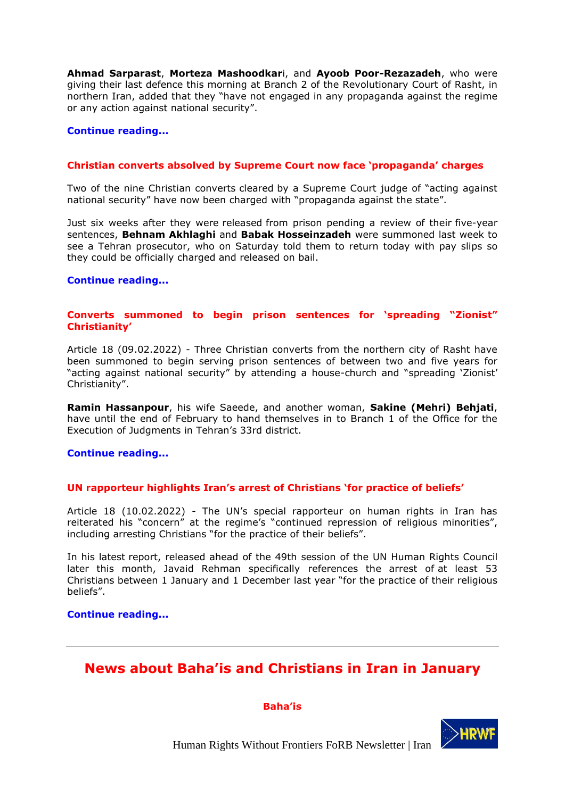**[Ahmad Sarparast](https://articleeighteen.com/reports/case-studies/10380/)**[,](https://articleeighteen.com/reports/case-studies/10380/) **[Morteza Mashoodkar](https://articleeighteen.com/reports/case-studies/10380/)**[i, and](https://articleeighteen.com/reports/case-studies/10380/) **[Ayoob Poor-Rezazadeh](https://articleeighteen.com/reports/case-studies/10380/)**, who were giving their last defence this morning at Branch 2 of the Revolutionary Court of Rasht, in northern Iran, added that they "have not engaged in any propaganda against the regime or any action against national security".

#### **[C](https://articleeighteen.com/news/10420/)[ontinue reading...](https://articleeighteen.com/news/10087/)**

#### **Christian converts absolved by Supreme Court now face 'propaganda' charges**

Two of the nine Christian converts [cleared](https://articleeighteen.com/news/9836/) by a Supreme Court judge of "acting against national security" have now been charged with "propaganda against the state".

Just six weeks after they were [released](https://articleeighteen.com/news/9998/) from prison pending a review of their [five-year](https://articleeighteen.com/news/4853/)  [sentences,](https://articleeighteen.com/news/4853/) **Behnam Akhlaghi** and **Babak Hosseinzadeh** were summoned last week to see a Tehran prosecutor, who on Saturday told them to return today with pay slips so they could be officially charged and released on bail.

#### **[Continue reading...](https://articleeighteen.com/news/10374/)**

# **Converts summoned to begin prison sentences for 'spreading "Zionist" Christianity'**

Article 18 (09.02.2022) - Three Christian converts from the northern city of Rasht have been summoned to begin serving prison sentences of between two and five years for "acting against national security" by attending a house-church and "spreading 'Zionist' Christianity".

**Ramin Hassanpour**, his wife Saeede, and another woman, **Sakine (Mehri) Behjati**, have until the end of February to hand themselves in to Branch 1 of the Office for the Execution of Judgments in Tehran's 33rd district.

#### **[Continue reading...](https://articleeighteen.com/news/10348/)**

# **UN rapporteur highlights Iran's arrest of Christians 'for practice of beliefs'**

Article 18 (10.02.2022) - The UN's special rapporteur on human rights in Iran has reiterated his "concern" at the regime's "continued repression of religious minorities", including arresting Christians "for the practice of their beliefs".

In his latest [report,](https://daccess-ods.un.org/tmp/9710494.27986145.html) released ahead of the 49th session of the UN Human Rights Council later this month, Javaid Rehman specifically references the arrest of [at least 53](https://articleeighteen.com/news/9587/)  [Christians](https://articleeighteen.com/news/9587/) between 1 January and 1 December last year "for the practice of their religious beliefs".

#### **[Continue reading...](https://articleeighteen.com/news/10353/)**

# <span id="page-14-0"></span>**News about Baha'is and Christians in Iran in January**

#### **Baha'is**

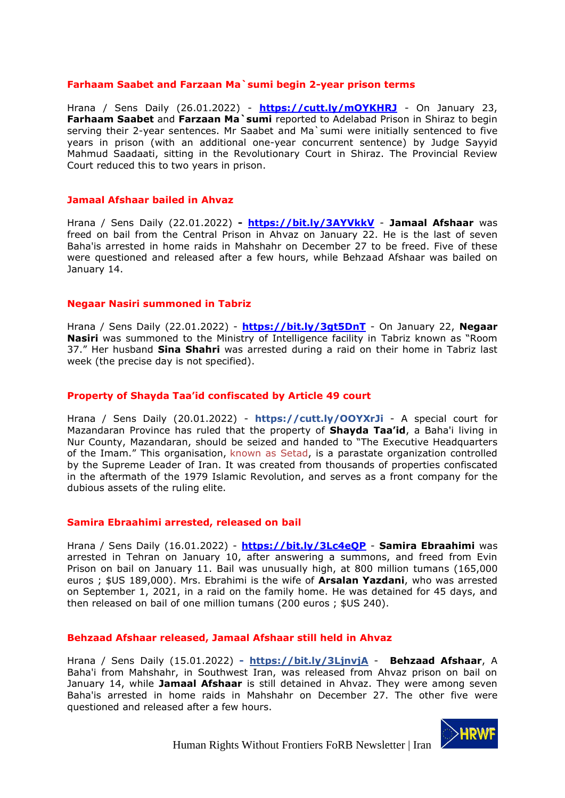#### **Farhaam Saabet and Farzaan Ma`sumi begin 2-year prison terms**

Hrana / Sens Daily (26.01.2022) - **<https://cutt.ly/mOYKHRJ>** - On January 23, **Farhaam Saabet** and **Farzaan Ma`sumi** reported to Adelabad Prison in Shiraz to begin serving their 2-year sentences. Mr Saabet and Ma`sumi were initially sentenced to five years in prison (with an additional one-year concurrent sentence) by Judge Sayyid Mahmud Saadaati, sitting in the Revolutionary Court in Shiraz. The Provincial Review Court reduced this to two years in prison.

#### **[Jamaal Afshaar bailed in](https://sensday.wordpress.com/2022/01/23/jamaal-afshaar-bailed-in-ahvaz/) Ahvaz**

Hrana / Sens Daily (22.01.2022) **- <https://bit.ly/3AYVkkV>** - **Jamaal Afshaar** was freed on bail from the Central Prison in Ahvaz on January 22. He is the last of seven Baha'is arrested in home raids in Mahshahr on December 27 to be freed. Five of these were questioned and released after a few hours, while Behzaad Afshaar was bailed on January 14.

#### **Negaar Nasiri summoned in Tabriz**

Hrana / Sens Daily (22.01.2022) - **<https://bit.ly/3gt5DnT>** - On January 22, **Negaar Nasiri** was summoned to the Ministry of Intelligence facility in Tabriz known as "Room 37." Her husband **Sina Shahri** was arrested during a raid on their home in Tabriz last week (the precise day is not specified).

# **Property of Shayda Taa'id confiscated by Article 49 court**

Hrana / Sens Daily (20.01.2022) - **https://cutt.ly/OOYXrJi** - A special court for Mazandaran Province has ruled that the property of **Shayda Taa'id**, a Baha'i living in Nur County, Mazandaran, should be seized and handed to "The Executive Headquarters of the Imam." This organisation, [known as Setad,](https://en.wikipedia.org/wiki/Execution_of_Imam_Khomeini) is a parastate organization controlled by the Supreme Leader of Iran. It was created from thousands of properties confiscated in the aftermath of the 1979 Islamic Revolution, and serves as a front company for the dubious assets of the ruling elite.

#### **Samira Ebraahimi arrested, released on bail**

Hrana / Sens Daily (16.01.2022) - **<https://bit.ly/3Lc4eQP>** - **Samira Ebraahimi** was arrested in Tehran on January 10, after answering a summons, and freed from Evin Prison on bail on January 11. Bail was unusually high, at 800 million tumans (165,000 euros ; \$US 189,000). Mrs. Ebrahimi is the wife of **Arsalan Yazdani**, who was arrested on September 1, 2021, in a raid on the family home. He was detained for 45 days, and then released on bail of one million tumans (200 euros ; \$US 240).

# **Behzaad Afshaar released, Jamaal Afshaar still held in Ahvaz**

Hrana / Sens Daily (15.01.2022) **- <https://bit.ly/3LjnvjA>** - **Behzaad Afshaar**, A Baha'i from Mahshahr, in Southwest Iran, was released from Ahvaz prison on bail on January 14, while **Jamaal Afshaar** is still detained in Ahvaz. They were among seven Baha'is arrested in home raids in Mahshahr on December 27. The other five were questioned and released after a few hours.

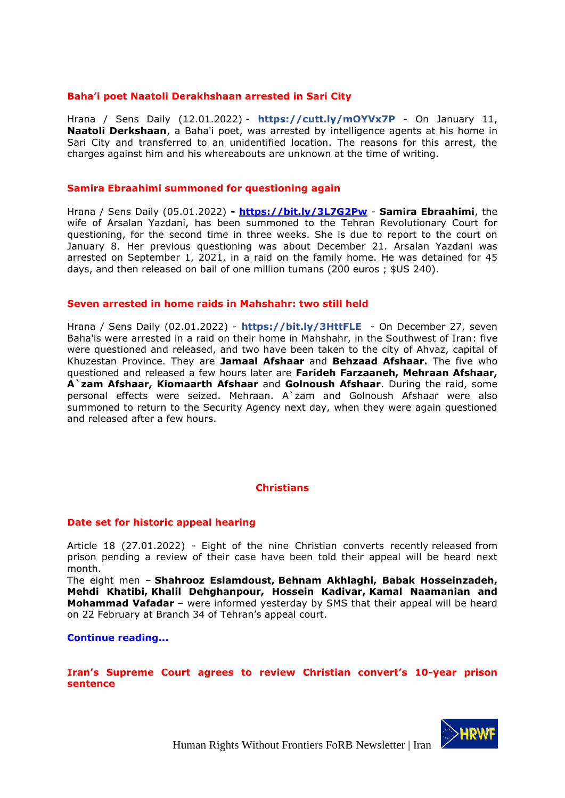#### **Baha'i poet Naatoli Derakhshaan arrested in Sari City**

Hrana / Sens Daily (12.01.2022) - **https://cutt.ly/mOYVx7P** - On January 11, **Naatoli Derkshaan**, a Baha'i poet, was arrested by intelligence agents at his home in Sari City and transferred to an unidentified location. The reasons for this arrest, the charges against him and his whereabouts are unknown at the time of writing.

#### **Samira Ebraahimi summoned for questioning again**

Hrana / Sens Daily (05.01.2022) **- <https://bit.ly/3L7G2Pw>** - **Samira Ebraahimi**, the wife of Arsalan Yazdani, has been summoned to the Tehran Revolutionary Court for questioning, for the second time in three weeks. She is due to report to the court on January 8. Her previous questioning was about December 21. Arsalan Yazdani was arrested on September 1, 2021, in a raid on the family home. He was detained for 45 days, and then released on bail of one million tumans (200 euros ; \$US 240).

#### **[Seven arrested in home raids in Mahshahr: two still](https://sensday.wordpress.com/2022/01/02/seven-arrested-in-home-raids-in-mahshahr-two-still-held/) held**

Hrana / Sens Daily (02.01.2022) - **https://bit.ly/3HttFLE** - On December 27, seven Baha'is were arrested in a raid on their home in Mahshahr, in the Southwest of Iran: five were questioned and released, and two have been taken to the city of Ahvaz, capital of Khuzestan Province. They are **Jamaal Afshaar** and **Behzaad Afshaar.** The five who questioned and released a few hours later are **Farideh Farzaaneh, Mehraan Afshaar, A`zam Afshaar, Kiomaarth Afshaar** and **Golnoush Afshaar**. During the raid, some personal effects were seized. Mehraan. A`zam and Golnoush Afshaar were also summoned to return to the Security Agency next day, when they were again questioned and released after a few hours.

# **Christians**

#### **Date set for historic appeal hearing**

Article 18 (27.01.2022) - Eight of the nine Christian converts recently [released](https://articleeighteen.com/news/9998/) from prison pending a review of their case have been told their appeal will be heard next month.

The eight men – **[Shahrooz Eslamdoust,](https://articleeighteen.com/news/2920/) [Behnam Akhlaghi, Babak Hosseinzadeh,](https://articleeighteen.com/news/3033/)  [Mehdi Khatibi,](https://articleeighteen.com/news/3033/) [Khalil Dehghanpour, Hossein Kadivar,](https://articleeighteen.com/news/2895/) [Kamal Naamanian and](https://articleeighteen.com/news/2920/)  [Mohammad Vafadar](https://articleeighteen.com/news/2920/)** – were informed yesterday by SMS that their appeal will be heard on 22 February at Branch 34 of Tehran's appeal court.

#### **[Continue reading...](https://articleeighteen.com/news/10249/)**

**Iran's Supreme Court agrees to review Christian convert's 10-year prison sentence**

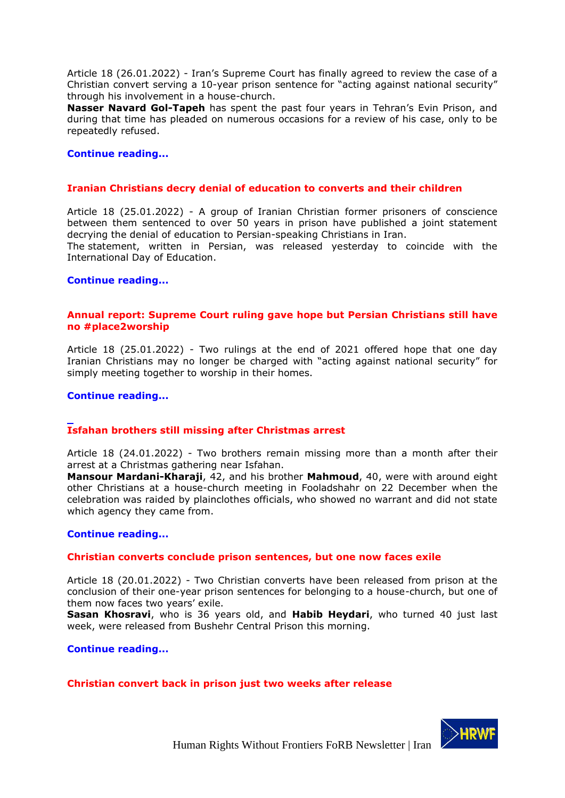Article 18 (26.01.2022) - Iran's Supreme Court has finally agreed to review the case of a Christian convert serving a [10-year prison sentence](https://articleeighteen.com/news/1875/) for "acting against national security" through his involvement in a house-church.

**Nasser Navard Gol-Tapeh** has spent the past four years in Tehran's Evin Prison, and during that time has pleaded on numerous occasions for a review of his case, only to be repeatedly [refused.](https://articleeighteen.com/news/7297/)

#### **[Continue reading...](https://articleeighteen.com/news/10230/)**

# **Iranian Christians decry denial of education to converts and their children**

Article 18 (25.01.2022) - A group of Iranian Christian former prisoners of conscience between them sentenced to over 50 years in prison have published a joint statement decrying the denial of education to Persian-speaking Christians in Iran.

The [statement,](https://www.tribunezamaneh.com/archives/66139) written in Persian, was released yesterday to coincide with the International Day of Education.

#### **[Continue reading...](https://articleeighteen.com/news/10207/)**

# **Annual report: Supreme Court ruling gave hope but Persian Christians still have no #place2worship**

Article 18 (25.01.2022) - Two rulings at the end of 2021 offered hope that one day Iranian Christians may no longer be charged with "acting against national security" for simply meeting together to worship in their homes.

#### **[Continue reading...](https://articleeighteen.com/news/10087/)**

# **Isfahan brothers still missing after Christmas arrest**

Article 18 (24.01.2022) - Two brothers remain missing more than a month after their arrest at a Christmas gathering near Isfahan.

**Mansour Mardani-Kharaji**, 42, and his brother **Mahmoud**, 40, were with around eight other Christians at a house-church meeting in Fooladshahr on 22 December when the celebration was raided by plainclothes officials, who showed no warrant and did not state which agency they came from.

#### **[Continue reading...](https://articleeighteen.com/news/10192/)**

#### **Christian converts conclude prison sentences, but one now faces exile**

Article 18 (20.01.2022) - Two Christian converts have been released from prison at the conclusion of their one-year prison sentences for belonging to a house-church, but one of them now faces two years' exile.

**Sasan Khosravi**, who is 36 years old, and **Habib Heydari**, who turned 40 just last week, were released from Bushehr Central Prison this morning.

**[Continue reading...](https://articleeighteen.com/news/10149/)**

**Christian convert back in prison just two weeks after release**

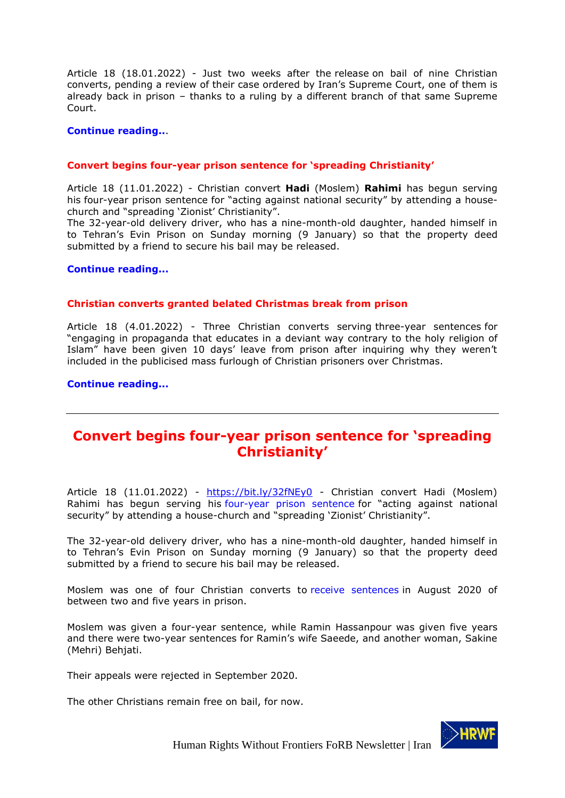Article 18 (18.01.2022) - Just two weeks after the [release](https://articleeighteen.com/news/9998/) on bail of nine Christian converts, pending a review of their case ordered by Iran's Supreme Court, one of them is already back in prison – thanks to a ruling by a different branch of that same Supreme Court.

#### **[Continue reading..](https://articleeighteen.com/news/10105/)**.

#### **Convert begins four-year prison sentence for 'spreading Christianity'**

Article 18 (11.01.2022) - Christian convert **Hadi** (Moslem) **Rahimi** has begun serving his [four-year prison sentence](https://articleeighteen.com/news/6548/) for "acting against national security" by attending a housechurch and "spreading 'Zionist' Christianity".

The 32-year-old delivery driver, who has a nine-month-old daughter, handed himself in to Tehran's Evin Prison on Sunday morning (9 January) so that the property deed submitted by a friend to secure his bail may be released.

**[Continue reading...](https://articleeighteen.com/news/10027/)**

#### **Christian converts granted belated Christmas break from prison**

Article 18 (4.01.2022) - Three Christian converts serving [three-year sentences](https://articleeighteen.com/news/9548/) for "engaging in propaganda that educates in a deviant way contrary to the holy religion of Islam" have been given 10 days' leave from prison after inquiring why they weren't included in the [publicised](https://www.tasnimnews.com/en/news/2021/12/26/2632776/christian-prisoners-in-iran-get-furlough-for-christmas) mass furlough of Christian prisoners over Christmas.

**[Continue reading...](https://articleeighteen.com/news/10007/)**

# <span id="page-18-0"></span>**Convert begins four-year prison sentence for 'spreading Christianity'**

Article 18 (11.01.2022) - <https://bit.ly/32fNEy0> - Christian convert Hadi (Moslem) Rahimi has begun serving his [four-year prison sentence](https://articleeighteen.com/news/6548/) for "acting against national security" by attending a house-church and "spreading 'Zionist' Christianity".

The 32-year-old delivery driver, who has a nine-month-old daughter, handed himself in to Tehran's Evin Prison on Sunday morning (9 January) so that the property deed submitted by a friend to secure his bail may be released.

Moslem was one of four Christian converts to [receive sentences](https://articleeighteen.com/news/6548/) in August 2020 of between two and five years in prison.

Moslem was given a four-year sentence, while Ramin Hassanpour was given five years and there were two-year sentences for Ramin's wife Saeede, and another woman, Sakine (Mehri) Behjati.

Their appeals were rejected in September 2020.

The other Christians remain free on bail, for now.

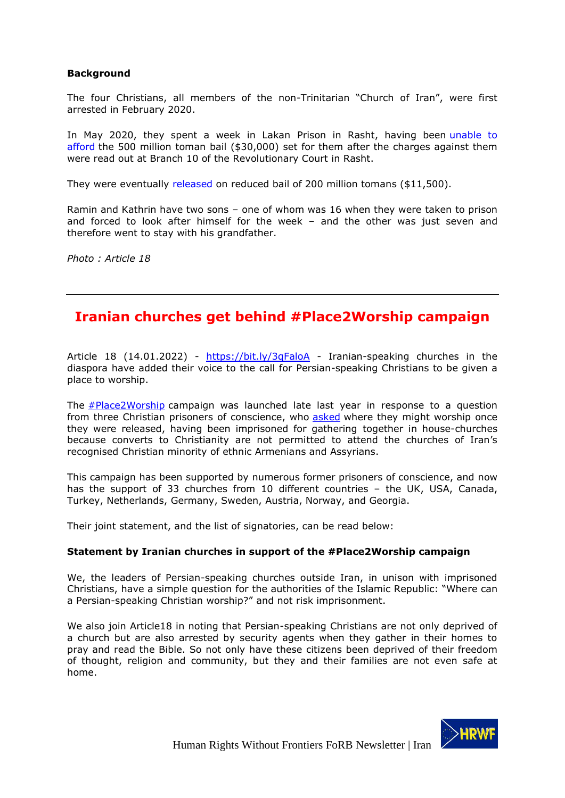# **Background**

The four Christians, all members of the non-Trinitarian "Church of Iran", were first arrested in February 2020.

In May 2020, they spent a week in Lakan Prison in Rasht, having been [unable to](https://articleeighteen.com/news/6065/)  [afford](https://articleeighteen.com/news/6065/) the 500 million toman bail (\$30,000) set for them after the charges against them were read out at Branch 10 of the Revolutionary Court in Rasht.

They were eventually [released](https://twitter.com/articleeighteen/status/1263433358505381888) on reduced bail of 200 million tomans (\$11,500).

Ramin and Kathrin have two sons – one of whom was 16 when they were taken to prison and forced to look after himself for the week – and the other was just seven and therefore went to stay with his grandfather.

*Photo : Article 18*

# <span id="page-19-0"></span>**Iranian churches get behind #Place2Worship campaign**

Article 18 (14.01.2022) - <https://bit.ly/3qFaloA> - Iranian-speaking churches in the diaspora have added their voice to the call for Persian-speaking Christians to be given a place to worship.

The **[#Place2Worship](https://articleeighteen.com/place2worship/)** campaign was launched late last year in response to a question from three Christian prisoners of conscience, who [asked](https://articleeighteen.com/news/9468/) where they might worship once they were released, having been imprisoned for gathering together in house-churches because converts to Christianity are not permitted to attend the churches of Iran's recognised Christian minority of ethnic Armenians and Assyrians.

This campaign has been supported by numerous former prisoners of conscience, and now has the support of 33 churches from 10 different countries - the UK, USA, Canada, Turkey, Netherlands, Germany, Sweden, Austria, Norway, and Georgia.

Their joint statement, and the list of signatories, can be read below:

# **Statement by Iranian churches in support of the #Place2Worship campaign**

We, the leaders of Persian-speaking churches outside Iran, in unison with imprisoned Christians, have a simple question for the authorities of the Islamic Republic: "Where can a Persian-speaking Christian worship?" and not risk imprisonment.

We also join Article18 in noting that Persian-speaking Christians are not only deprived of a church but are also arrested by security agents when they gather in their homes to pray and read the Bible. So not only have these citizens been deprived of their freedom of thought, religion and community, but they and their families are not even safe at home.

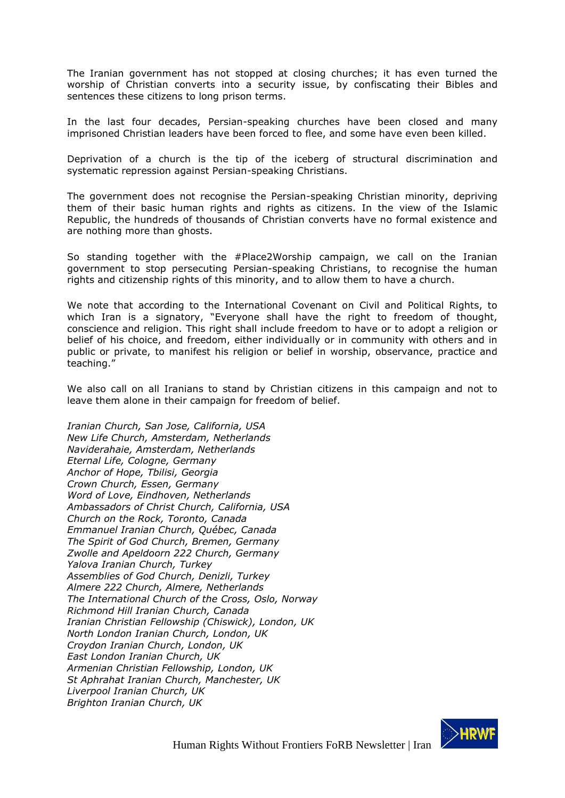The Iranian government has not stopped at closing churches; it has even turned the worship of Christian converts into a security issue, by confiscating their Bibles and sentences these citizens to long prison terms.

In the last four decades, Persian-speaking churches have been closed and many imprisoned Christian leaders have been forced to flee, and some have even been killed.

Deprivation of a church is the tip of the iceberg of structural discrimination and systematic repression against Persian-speaking Christians.

The government does not recognise the Persian-speaking Christian minority, depriving them of their basic human rights and rights as citizens. In the view of the Islamic Republic, the hundreds of thousands of Christian converts have no formal existence and are nothing more than ghosts.

So standing together with the #Place2Worship campaign, we call on the Iranian government to stop persecuting Persian-speaking Christians, to recognise the human rights and citizenship rights of this minority, and to allow them to have a church.

We note that according to the International Covenant on Civil and Political Rights, to which Iran is a signatory, "Everyone shall have the right to freedom of thought, conscience and religion. This right shall include freedom to have or to adopt a religion or belief of his choice, and freedom, either individually or in community with others and in public or private, to manifest his religion or belief in worship, observance, practice and teaching."

We also call on all Iranians to stand by Christian citizens in this campaign and not to leave them alone in their campaign for freedom of belief.

*Iranian Church, San Jose, California, USA New Life Church, Amsterdam, Netherlands Naviderahaie, Amsterdam, Netherlands Eternal Life, Cologne, Germany Anchor of Hope, Tbilisi, Georgia Crown Church, Essen, Germany Word of Love, Eindhoven, Netherlands Ambassadors of Christ Church, California, USA Church on the Rock, Toronto, Canada Emmanuel Iranian Church, Québec, Canada The Spirit of God Church, Bremen, Germany Zwolle and Apeldoorn 222 Church, Germany Yalova Iranian Church, Turkey Assemblies of God Church, Denizli, Turkey Almere 222 Church, Almere, Netherlands The International Church of the Cross, Oslo, Norway Richmond Hill Iranian Church, Canada Iranian Christian Fellowship (Chiswick), London, UK North London Iranian Church, London, UK Croydon Iranian Church, London, UK East London Iranian Church, UK Armenian Christian Fellowship, London, UK St Aphrahat Iranian Church, Manchester, UK Liverpool Iranian Church, UK Brighton Iranian Church, UK*

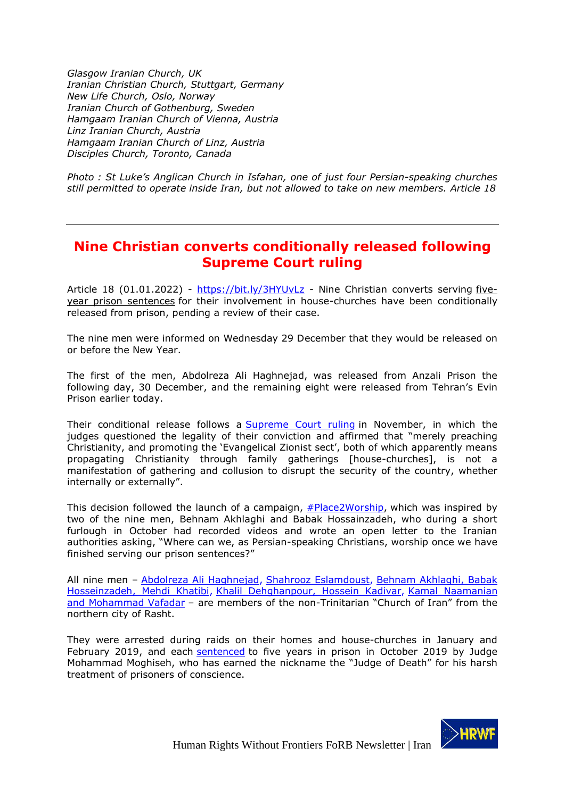*Glasgow Iranian Church, UK Iranian Christian Church, Stuttgart, Germany New Life Church, Oslo, Norway Iranian Church of Gothenburg, Sweden Hamgaam Iranian Church of Vienna, Austria Linz Iranian Church, Austria Hamgaam Iranian Church of Linz, Austria Disciples Church, Toronto, Canada*

*Photo : St Luke's Anglican Church in Isfahan, one of just four Persian-speaking churches still permitted to operate inside Iran, but not allowed to take on new members. Article 18*

# <span id="page-21-0"></span>**Nine Christian converts conditionally released following Supreme Court ruling**

Article 18 (01.01.2022) - https://bit.ly/3HYUvLz - Nine Christian converts serving fiveyear prison sentences for their involvement in house-churches have been conditionally released from prison, pending a review of their case.

The nine men were informed on Wednesday 29 December that they would be released on or before the New Year.

The first of the men, Abdolreza Ali Haghnejad, was released from Anzali Prison the following day, 30 December, and the remaining eight were released from Tehran's Evin Prison earlier today.

Their conditional release follows a Supreme Court ruling in November, in which the judges questioned the legality of their conviction and affirmed that "merely preaching Christianity, and promoting the 'Evangelical Zionist sect', both of which apparently means propagating Christianity through family gatherings [house-churches], is not a manifestation of gathering and collusion to disrupt the security of the country, whether internally or externally".

This decision followed the launch of a campaign, #Place2Worship, which was inspired by two of the nine men, Behnam Akhlaghi and Babak Hossainzadeh, who during a short furlough in October had recorded videos and wrote an open letter to the Iranian authorities asking, "Where can we, as Persian-speaking Christians, worship once we have finished serving our prison sentences?"

All nine men - Abdolreza Ali Haghnejad, Shahrooz Eslamdoust, Behnam Akhlaghi, Babak Hosseinzadeh, Mehdi Khatibi, Khalil Dehghanpour, Hossein Kadivar, Kamal Naamanian and Mohammad Vafadar – are members of the non-Trinitarian "Church of Iran" from the northern city of Rasht.

They were arrested during raids on their homes and house-churches in January and February 2019, and each sentenced to five years in prison in October 2019 by Judge Mohammad Moghiseh, who has earned the nickname the "Judge of Death" for his harsh treatment of prisoners of conscience.